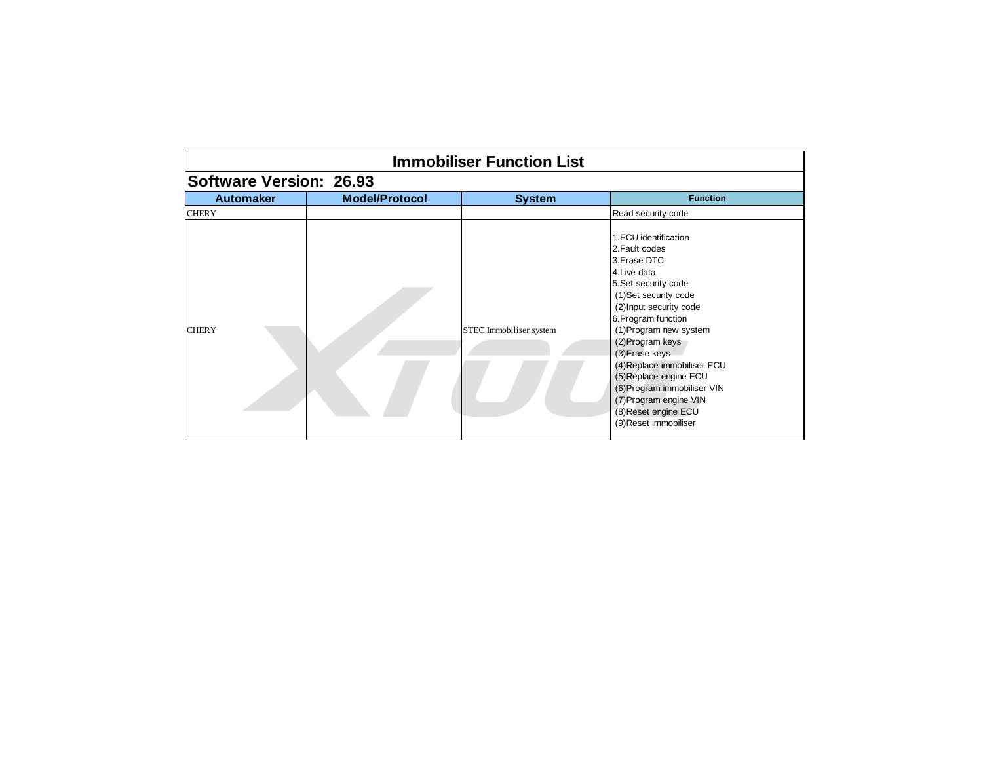| <b>Immobiliser Function List</b> |                       |                         |                                                                                                                                                                                                                                                                                                                                                                                                             |  |
|----------------------------------|-----------------------|-------------------------|-------------------------------------------------------------------------------------------------------------------------------------------------------------------------------------------------------------------------------------------------------------------------------------------------------------------------------------------------------------------------------------------------------------|--|
| <b>Software Version: 26.93</b>   |                       |                         |                                                                                                                                                                                                                                                                                                                                                                                                             |  |
| <b>Automaker</b>                 | <b>Model/Protocol</b> | <b>System</b>           | <b>Function</b>                                                                                                                                                                                                                                                                                                                                                                                             |  |
| <b>CHERY</b>                     |                       |                         | Read security code                                                                                                                                                                                                                                                                                                                                                                                          |  |
| <b>CHERY</b>                     |                       | STEC Immobiliser system | 1.ECU identification<br>2. Fault codes<br>3. Erase DTC<br>4. Live data<br>5. Set security code<br>(1)Set security code<br>(2) Input security code<br>6. Program function<br>(1) Program new system<br>(2) Program keys<br>(3) Erase keys<br>(4) Replace immobiliser ECU<br>(5) Replace engine ECU<br>(6) Program immobiliser VIN<br>(7) Program engine VIN<br>(8) Reset engine ECU<br>(9) Reset immobiliser |  |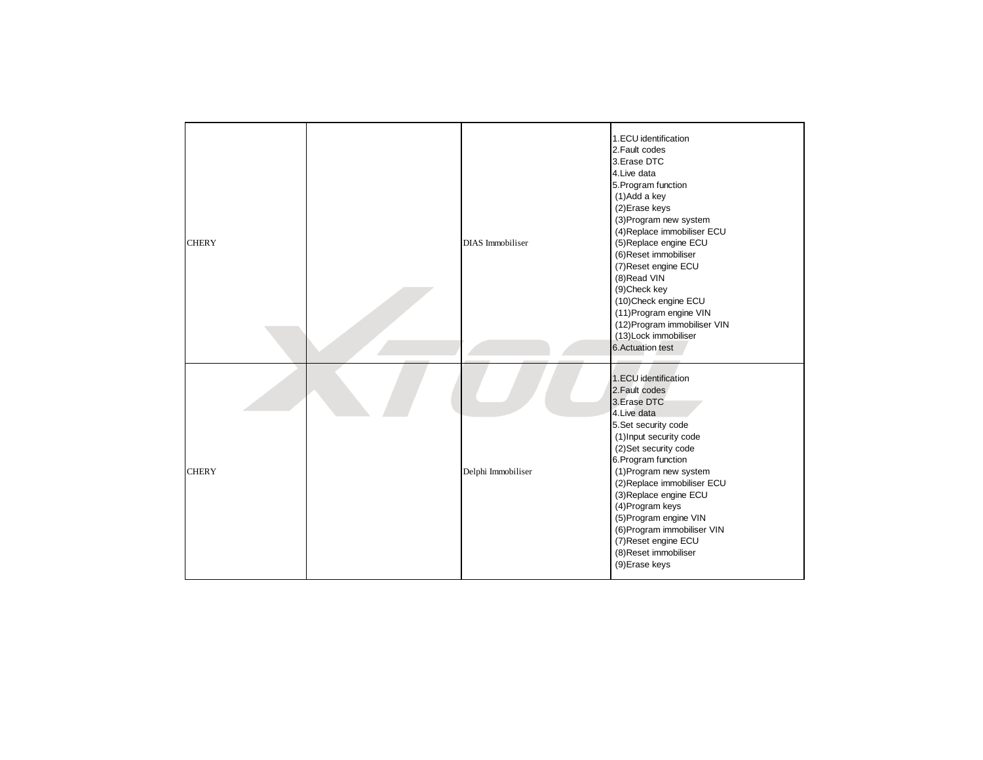| <b>CHERY</b> | <b>DIAS</b> Immobiliser | 1.ECU identification<br>2. Fault codes<br>3. Erase DTC<br>4. Live data<br>5. Program function<br>(1)Add a key<br>(2) Erase keys<br>(3) Program new system<br>(4) Replace immobiliser ECU<br>(5) Replace engine ECU<br>(6) Reset immobiliser<br>(7) Reset engine ECU<br>(8) Read VIN<br>(9) Check key<br>(10) Check engine ECU<br>(11) Program engine VIN<br>(12) Program immobiliser VIN<br>(13) Lock immobiliser<br>6. Actuation test |
|--------------|-------------------------|----------------------------------------------------------------------------------------------------------------------------------------------------------------------------------------------------------------------------------------------------------------------------------------------------------------------------------------------------------------------------------------------------------------------------------------|
| <b>CHERY</b> | Delphi Immobiliser      | 1.ECU identification<br>2. Fault codes<br>3. Erase DTC<br>4. Live data<br>5.Set security code<br>(1) Input security code<br>(2)Set security code<br>6. Program function<br>(1) Program new system<br>(2) Replace immobiliser ECU<br>(3) Replace engine ECU<br>(4) Program keys<br>(5) Program engine VIN<br>(6) Program immobiliser VIN<br>(7) Reset engine ECU<br>(8) Reset immobiliser<br>(9) Erase keys                             |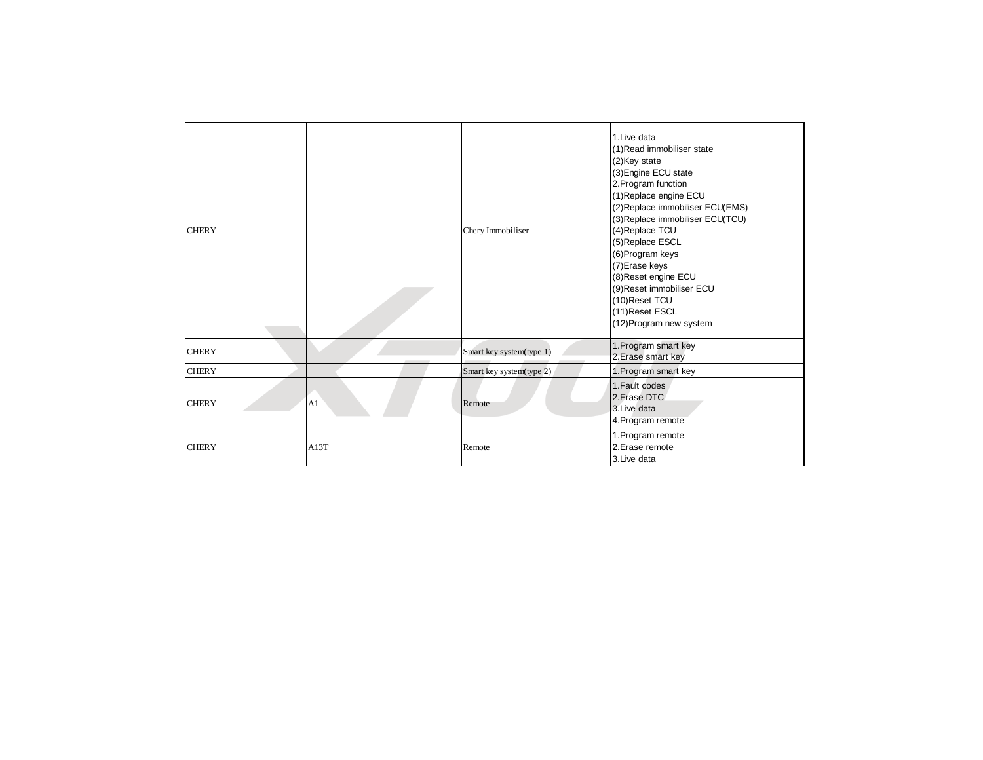| <b>CHERY</b> |      | Chery Immobiliser        | 1. Live data<br>(1) Read immobiliser state<br>(2)Key state<br>(3) Engine ECU state<br>2. Program function<br>(1) Replace engine ECU<br>(2) Replace immobiliser ECU(EMS)<br>(3) Replace immobiliser ECU(TCU)<br>(4) Replace TCU |
|--------------|------|--------------------------|--------------------------------------------------------------------------------------------------------------------------------------------------------------------------------------------------------------------------------|
|              |      |                          | (5) Replace ESCL<br>(6) Program keys<br>(7) Erase keys<br>(8) Reset engine ECU<br>(9) Reset immobiliser ECU<br>(10) Reset TCU<br>(11) Reset ESCL<br>(12) Program new system                                                    |
| <b>CHERY</b> |      | Smart key system(type 1) | 1. Program smart key<br>2. Erase smart key                                                                                                                                                                                     |
| <b>CHERY</b> |      | Smart key system(type 2) | 1. Program smart key                                                                                                                                                                                                           |
| <b>CHERY</b> | A1   | Remote                   | 1. Fault codes<br>2. Erase DTC<br>3. Live data<br>4. Program remote                                                                                                                                                            |
| <b>CHERY</b> | A13T | Remote                   | 1. Program remote<br>2. Erase remote<br>3. Live data                                                                                                                                                                           |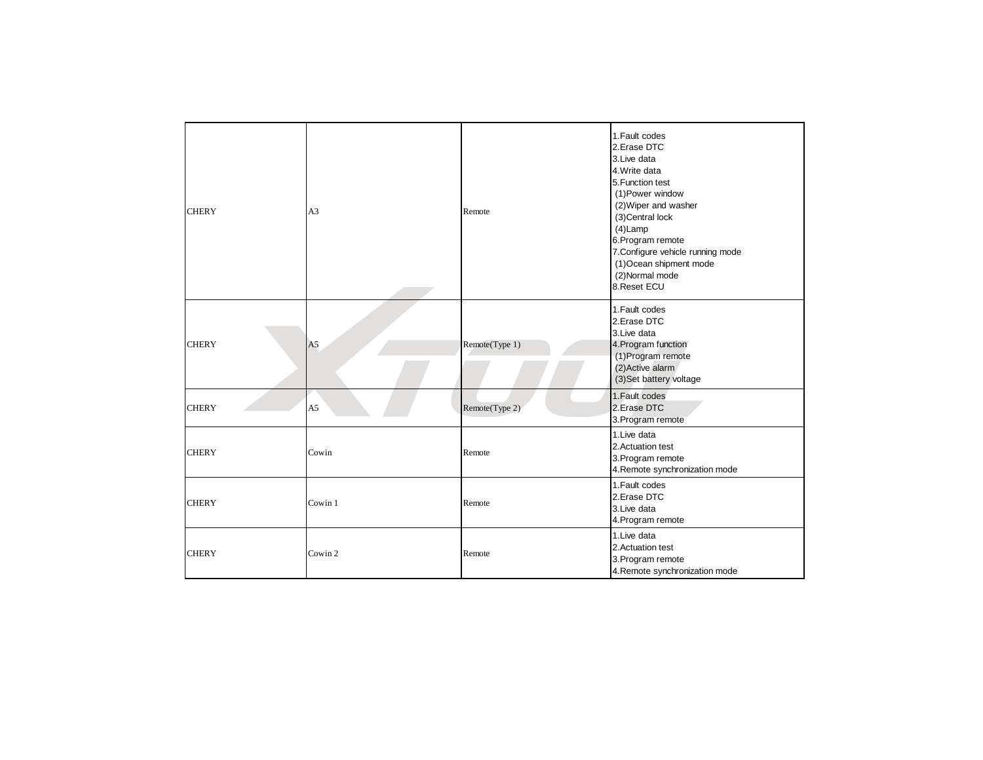| <b>CHERY</b> | A3             | Remote         | 1. Fault codes<br>2.Erase DTC<br>3. Live data<br>4. Write data<br>5. Function test<br>(1) Power window<br>(2) Wiper and washer<br>(3) Central lock<br>$(4)$ Lamp<br>6. Program remote<br>7. Configure vehicle running mode<br>(1) Ocean shipment mode<br>(2) Normal mode<br>8. Reset ECU |
|--------------|----------------|----------------|------------------------------------------------------------------------------------------------------------------------------------------------------------------------------------------------------------------------------------------------------------------------------------------|
| <b>CHERY</b> | A <sub>5</sub> | Remote(Type 1) | 1. Fault codes<br>2.Erase DTC<br>3. Live data<br>4. Program function<br>(1) Program remote<br>(2) Active alarm<br>(3) Set battery voltage                                                                                                                                                |
| <b>CHERY</b> | A <sub>5</sub> | Remote(Type 2) | 1. Fault codes<br>2. Erase DTC<br>3. Program remote                                                                                                                                                                                                                                      |
| <b>CHERY</b> | Cowin          | Remote         | 1. Live data<br>2. Actuation test<br>3. Program remote<br>4. Remote synchronization mode                                                                                                                                                                                                 |
| <b>CHERY</b> | Cowin 1        | Remote         | 1. Fault codes<br>2.Erase DTC<br>3. Live data<br>4. Program remote                                                                                                                                                                                                                       |
| <b>CHERY</b> | Cowin 2        | Remote         | 1. Live data<br>2. Actuation test<br>3. Program remote<br>4. Remote synchronization mode                                                                                                                                                                                                 |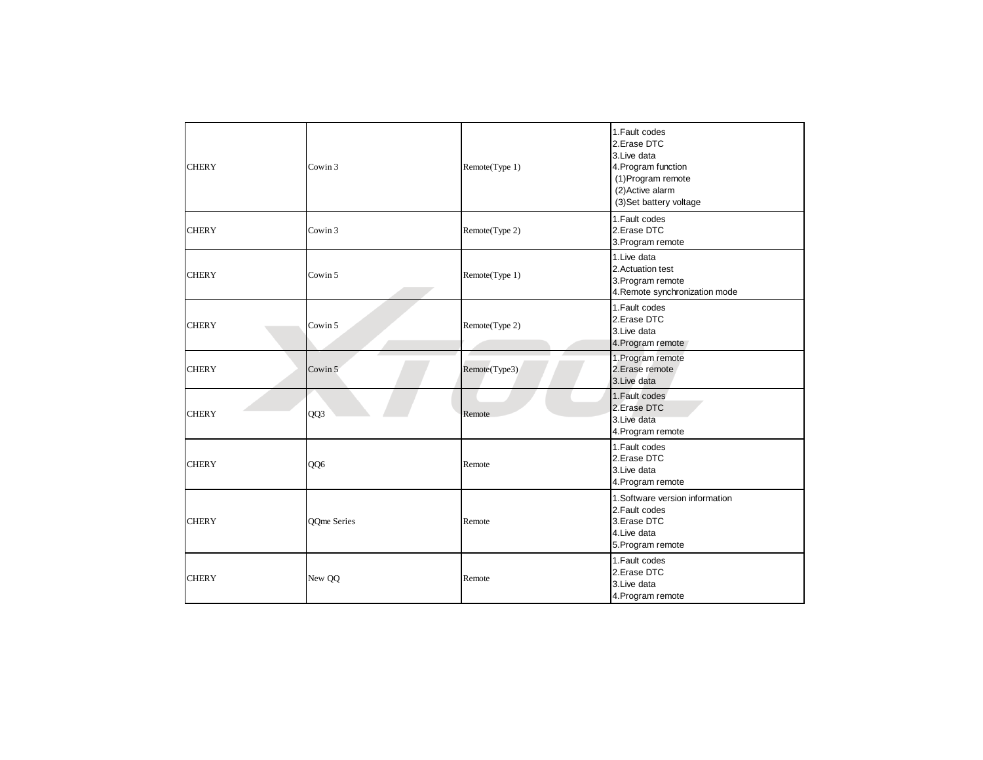| <b>CHERY</b> | Cowin 3     | Remote(Type 1) | 1. Fault codes<br>2.Erase DTC<br>3. Live data<br>4. Program function<br>(1) Program remote<br>(2) Active alarm<br>(3) Set battery voltage |
|--------------|-------------|----------------|-------------------------------------------------------------------------------------------------------------------------------------------|
| <b>CHERY</b> | Cowin 3     | Remote(Type 2) | 1. Fault codes<br>2.Erase DTC<br>3. Program remote                                                                                        |
| <b>CHERY</b> | Cowin 5     | Remote(Type 1) | 1. Live data<br>2. Actuation test<br>3. Program remote<br>4. Remote synchronization mode                                                  |
| <b>CHERY</b> | Cowin 5     | Remote(Type 2) | 1. Fault codes<br>2.Erase DTC<br>3. Live data<br>4. Program remote                                                                        |
| <b>CHERY</b> | Cowin 5     | Remote(Type3)  | 1. Program remote<br>2. Erase remote<br>3. Live data                                                                                      |
| <b>CHERY</b> | QQ3         | Remote         | 1. Fault codes<br>2. Erase DTC<br>3. Live data<br>4. Program remote                                                                       |
| <b>CHERY</b> | QQ6         | Remote         | 1. Fault codes<br>2. Erase DTC<br>3. Live data<br>4. Program remote                                                                       |
| <b>CHERY</b> | QQme Series | Remote         | 1. Software version information<br>2. Fault codes<br>3.Erase DTC<br>4. Live data<br>5. Program remote                                     |
| <b>CHERY</b> | New QQ      | Remote         | 1. Fault codes<br>2.Erase DTC<br>3. Live data<br>4. Program remote                                                                        |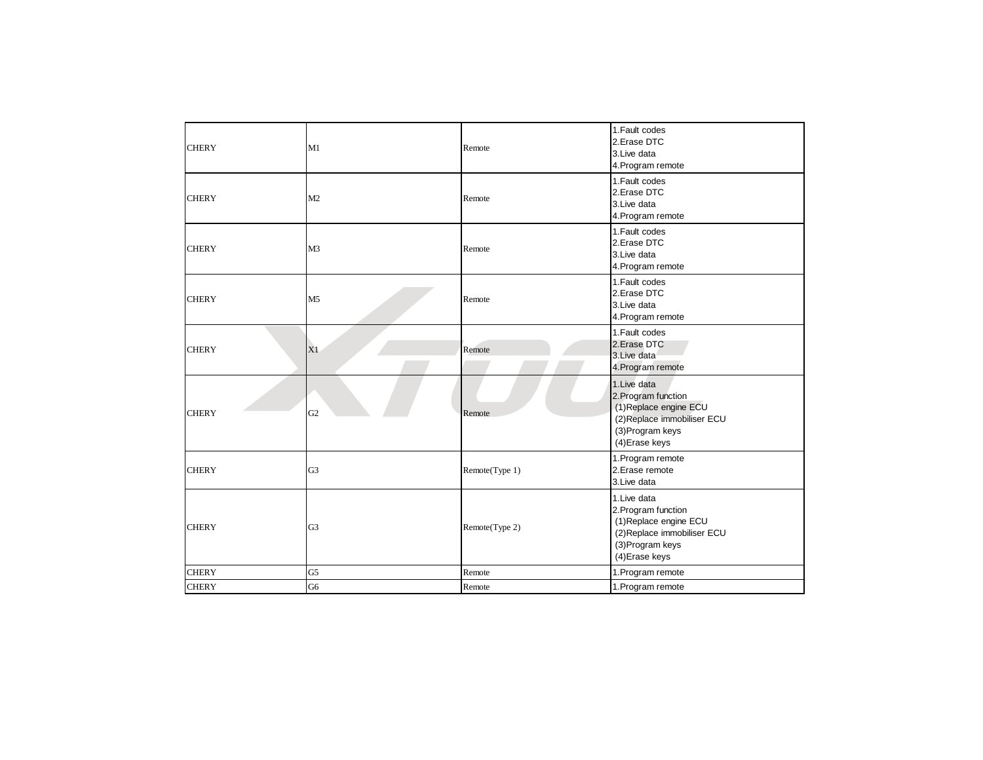| <b>CHERY</b> | M1             | Remote         | 1. Fault codes<br>2.Erase DTC<br>3.Live data<br>4. Program remote                                                                  |
|--------------|----------------|----------------|------------------------------------------------------------------------------------------------------------------------------------|
| <b>CHERY</b> | M2             | Remote         | 1. Fault codes<br>2.Erase DTC<br>3. Live data<br>4. Program remote                                                                 |
| <b>CHERY</b> | M <sub>3</sub> | Remote         | 1. Fault codes<br>2. Erase DTC<br>3. Live data<br>4. Program remote                                                                |
| <b>CHERY</b> | M <sub>5</sub> | Remote         | 1. Fault codes<br>2.Erase DTC<br>3. Live data<br>4. Program remote                                                                 |
| <b>CHERY</b> | X1             | Remote         | 1. Fault codes<br>2. Erase DTC<br>3. Live data<br>4. Program remote                                                                |
| <b>CHERY</b> | G <sub>2</sub> | Remote         | 1. Live data<br>2. Program function<br>(1) Replace engine ECU<br>(2) Replace immobiliser ECU<br>(3) Program keys<br>(4) Erase keys |
| <b>CHERY</b> | G <sub>3</sub> | Remote(Type 1) | 1. Program remote<br>2. Erase remote<br>3.Live data                                                                                |
| <b>CHERY</b> | G <sub>3</sub> | Remote(Type 2) | 1. Live data<br>2. Program function<br>(1) Replace engine ECU<br>(2) Replace immobiliser ECU<br>(3) Program keys<br>(4) Erase keys |
| <b>CHERY</b> | G <sub>5</sub> | Remote         | 1. Program remote                                                                                                                  |
| <b>CHERY</b> | G <sub>6</sub> | Remote         | 1. Program remote                                                                                                                  |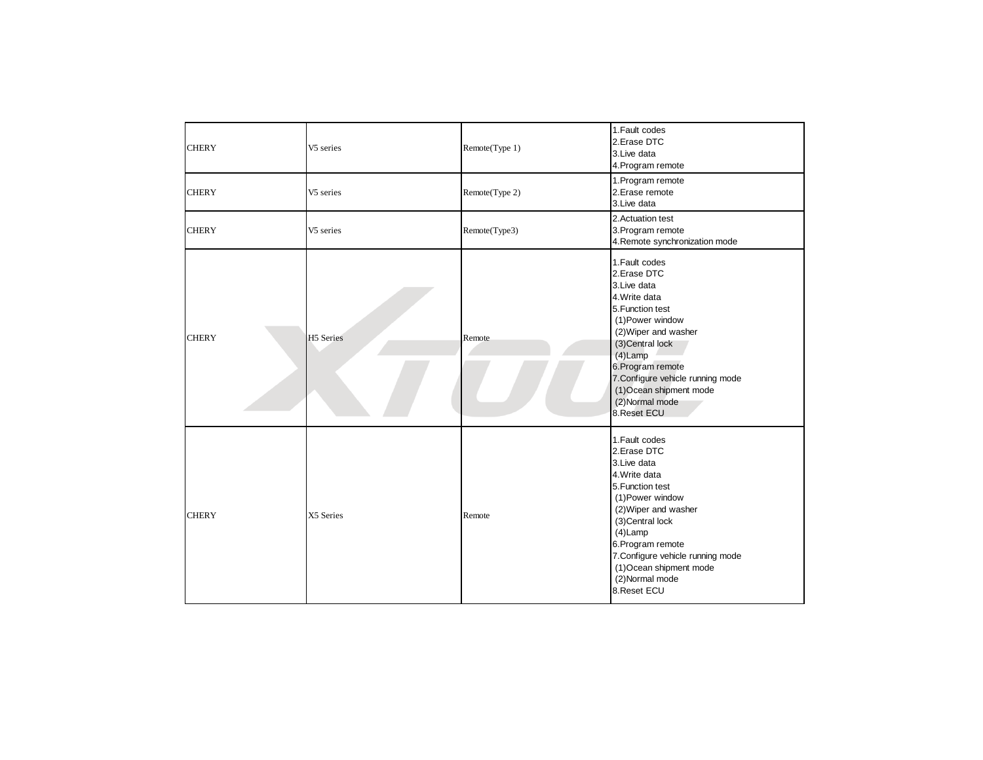| <b>CHERY</b> | V5 series | Remote(Type 1) | 1. Fault codes<br>2.Erase DTC<br>3. Live data<br>4. Program remote                                                                                                                                                                                                                       |
|--------------|-----------|----------------|------------------------------------------------------------------------------------------------------------------------------------------------------------------------------------------------------------------------------------------------------------------------------------------|
| <b>CHERY</b> | V5 series | Remote(Type 2) | 1. Program remote<br>2. Erase remote<br>3. Live data                                                                                                                                                                                                                                     |
| <b>CHERY</b> | V5 series | Remote(Type3)  | 2. Actuation test<br>3. Program remote<br>4. Remote synchronization mode                                                                                                                                                                                                                 |
| <b>CHERY</b> | H5 Series | Remote         | 1. Fault codes<br>2.Erase DTC<br>3. Live data<br>4. Write data<br>5. Function test<br>(1) Power window<br>(2) Wiper and washer<br>(3) Central lock<br>$(4)$ Lamp<br>6. Program remote<br>7. Configure vehicle running mode<br>(1) Ocean shipment mode<br>(2) Normal mode<br>8. Reset ECU |
| <b>CHERY</b> | X5 Series | Remote         | 1. Fault codes<br>2.Erase DTC<br>3. Live data<br>4. Write data<br>5. Function test<br>(1) Power window<br>(2) Wiper and washer<br>(3) Central lock<br>$(4)$ Lamp<br>6. Program remote<br>7. Configure vehicle running mode<br>(1) Ocean shipment mode<br>(2) Normal mode<br>8. Reset ECU |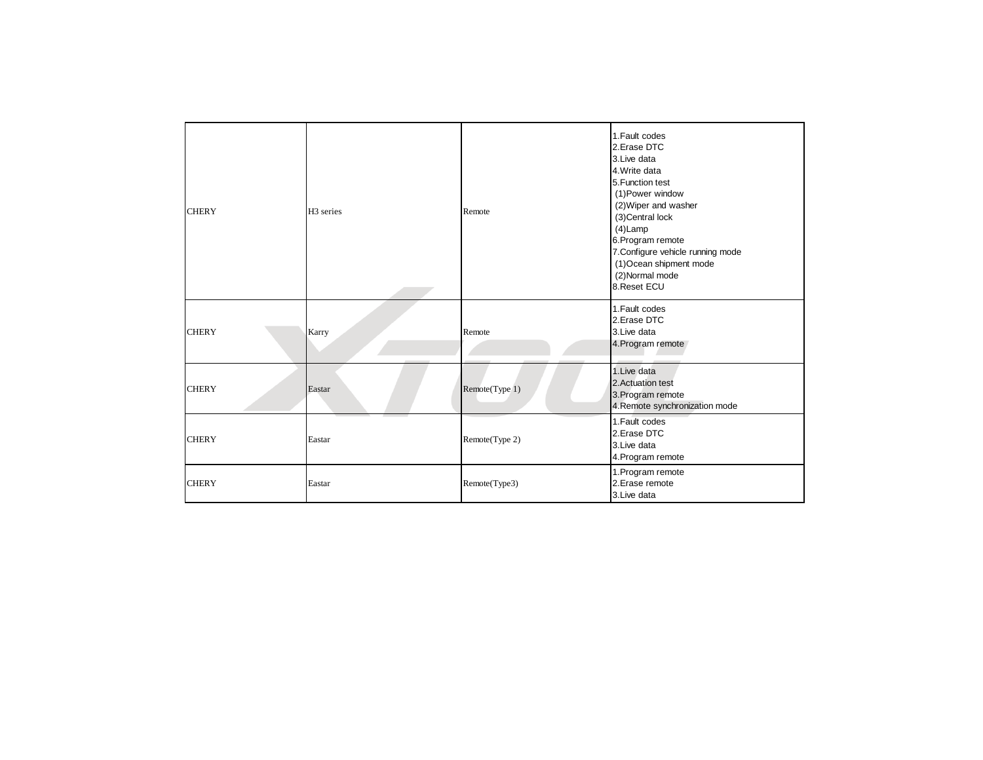| <b>CHERY</b> | H <sub>3</sub> series | Remote         | 1. Fault codes<br>2. Erase DTC<br>3. Live data<br>4. Write data<br>5. Function test<br>(1) Power window<br>(2) Wiper and washer<br>(3) Central lock<br>$(4)$ Lamp<br>6. Program remote<br>7. Configure vehicle running mode<br>(1) Ocean shipment mode<br>(2) Normal mode<br>8. Reset ECU |
|--------------|-----------------------|----------------|-------------------------------------------------------------------------------------------------------------------------------------------------------------------------------------------------------------------------------------------------------------------------------------------|
| <b>CHERY</b> | Karry                 | Remote         | 1. Fault codes<br>2. Erase DTC<br>3. Live data<br>4. Program remote                                                                                                                                                                                                                       |
| <b>CHERY</b> | Eastar                | Remote(Type 1) | 1. Live data<br>2. Actuation test<br>3. Program remote<br>4. Remote synchronization mode                                                                                                                                                                                                  |
| <b>CHERY</b> | Eastar                | Remote(Type 2) | 1. Fault codes<br>2. Erase DTC<br>3. Live data<br>4. Program remote                                                                                                                                                                                                                       |
| <b>CHERY</b> | Eastar                | Remote(Type3)  | 1. Program remote<br>2. Erase remote<br>3. Live data                                                                                                                                                                                                                                      |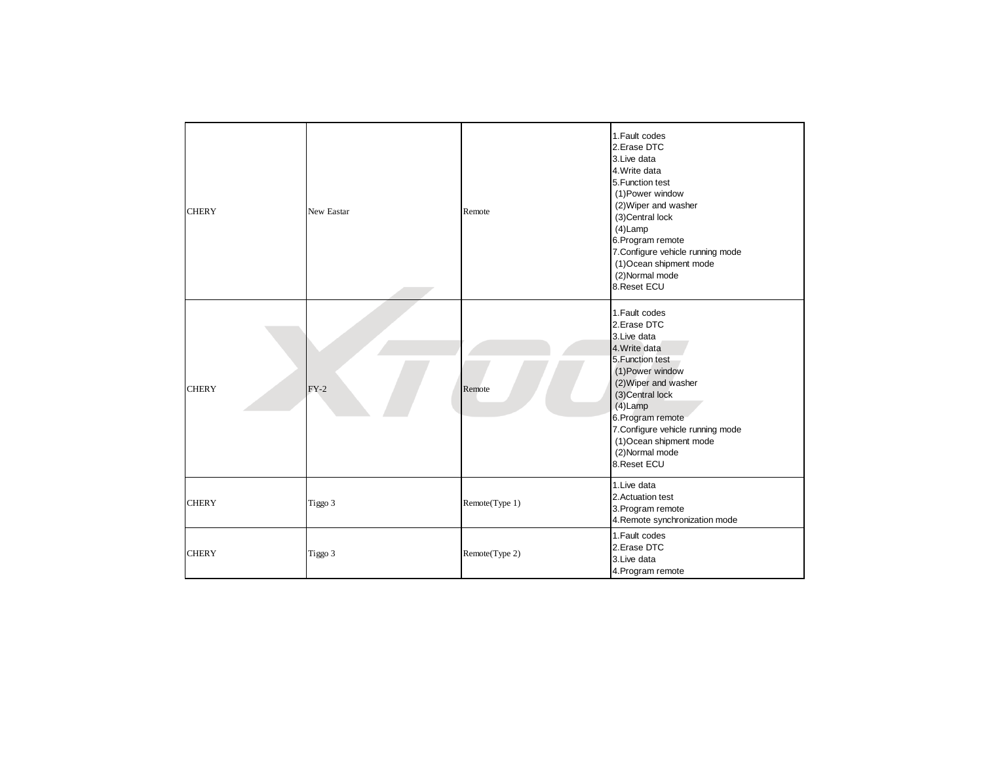| <b>CHERY</b> | New Eastar | Remote         | 1. Fault codes<br>2.Erase DTC<br>3. Live data<br>4. Write data<br>5. Function test<br>(1) Power window<br>(2) Wiper and washer<br>(3) Central lock<br>$(4)$ Lamp<br>6. Program remote<br>7. Configure vehicle running mode<br>(1) Ocean shipment mode<br>(2) Normal mode<br>8. Reset ECU |
|--------------|------------|----------------|------------------------------------------------------------------------------------------------------------------------------------------------------------------------------------------------------------------------------------------------------------------------------------------|
| <b>CHERY</b> | $FY-2$     | Remote         | 1. Fault codes<br>2.Erase DTC<br>3. Live data<br>4. Write data<br>5. Function test<br>(1) Power window<br>(2) Wiper and washer<br>(3) Central lock<br>$(4)$ Lamp<br>6. Program remote<br>7. Configure vehicle running mode<br>(1) Ocean shipment mode<br>(2) Normal mode<br>8. Reset ECU |
| <b>CHERY</b> | Tiggo 3    | Remote(Type 1) | 1. Live data<br>2. Actuation test<br>3. Program remote<br>4. Remote synchronization mode                                                                                                                                                                                                 |
| <b>CHERY</b> | Tiggo 3    | Remote(Type 2) | 1. Fault codes<br>2.Erase DTC<br>3. Live data<br>4. Program remote                                                                                                                                                                                                                       |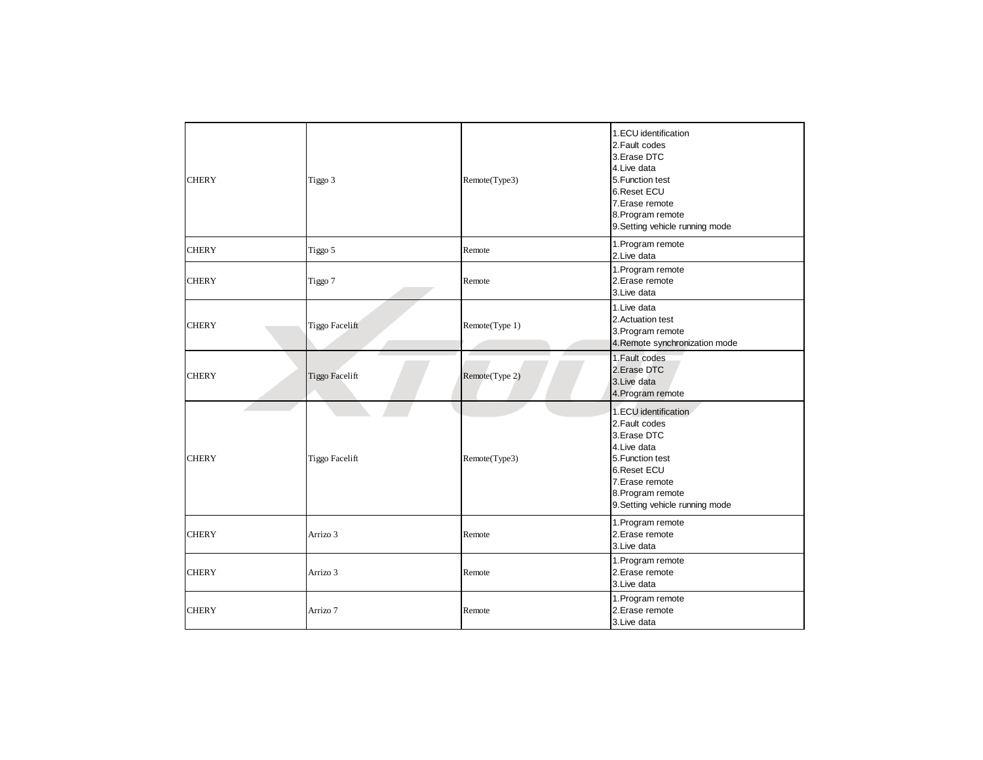| <b>CHERY</b> | Tiggo 3               | Remote(Type3)  | 1.ECU identification<br>2. Fault codes<br>3. Erase DTC<br>4. Live data<br>5. Function test<br>6.Reset ECU<br>7. Erase remote<br>8. Program remote<br>9. Setting vehicle running mode  |
|--------------|-----------------------|----------------|---------------------------------------------------------------------------------------------------------------------------------------------------------------------------------------|
| <b>CHERY</b> | Tiggo 5               | Remote         | 1. Program remote<br>2. Live data                                                                                                                                                     |
| <b>CHERY</b> | Tiggo 7               | Remote         | 1. Program remote<br>2. Erase remote<br>3. Live data                                                                                                                                  |
| <b>CHERY</b> | <b>Tiggo Facelift</b> | Remote(Type 1) | 1. Live data<br>2. Actuation test<br>3. Program remote<br>4. Remote synchronization mode                                                                                              |
| <b>CHERY</b> | <b>Tiggo Facelift</b> | Remote(Type 2) | 1. Fault codes<br>2. Erase DTC<br>3. Live data<br>4. Program remote                                                                                                                   |
| <b>CHERY</b> | <b>Tiggo Facelift</b> | Remote(Type3)  | 1.ECU identification<br>2. Fault codes<br>3. Erase DTC<br>4. Live data<br>5. Function test<br>6. Reset ECU<br>7. Erase remote<br>8. Program remote<br>9. Setting vehicle running mode |
| <b>CHERY</b> | Arrizo 3              | Remote         | 1. Program remote<br>2. Erase remote<br>3. Live data                                                                                                                                  |
| <b>CHERY</b> | Arrizo 3              | Remote         | 1. Program remote<br>2. Erase remote<br>3. Live data                                                                                                                                  |
| <b>CHERY</b> | Arrizo 7              | Remote         | 1. Program remote<br>2. Erase remote<br>3. Live data                                                                                                                                  |